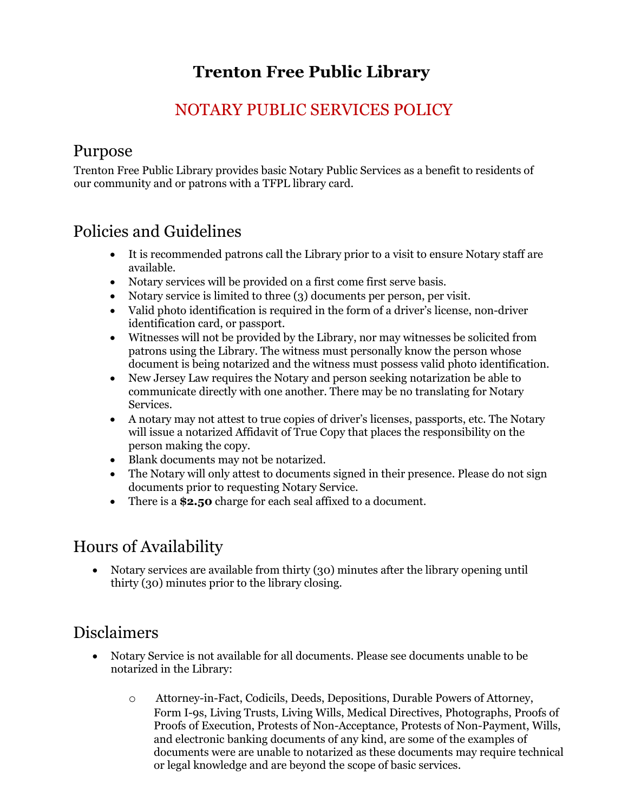# **Trenton Free Public Library**

### NOTARY PUBLIC SERVICES POLICY

#### Purpose

Trenton Free Public Library provides basic Notary Public Services as a benefit to residents of our community and or patrons with a TFPL library card.

### Policies and Guidelines

- It is recommended patrons call the Library prior to a visit to ensure Notary staff are available.
- Notary services will be provided on a first come first serve basis.
- Notary service is limited to three (3) documents per person, per visit.
- Valid photo identification is required in the form of a driver's license, non-driver identification card, or passport.
- Witnesses will not be provided by the Library, nor may witnesses be solicited from patrons using the Library. The witness must personally know the person whose document is being notarized and the witness must possess valid photo identification.
- New Jersey Law requires the Notary and person seeking notarization be able to communicate directly with one another. There may be no translating for Notary Services.
- A notary may not attest to true copies of driver's licenses, passports, etc. The Notary will issue a notarized Affidavit of True Copy that places the responsibility on the person making the copy.
- Blank documents may not be notarized.
- The Notary will only attest to documents signed in their presence. Please do not sign documents prior to requesting Notary Service.
- There is a **\$2.50** charge for each seal affixed to a document.

## Hours of Availability

• Notary services are available from thirty (30) minutes after the library opening until thirty (30) minutes prior to the library closing.

#### Disclaimers

- Notary Service is not available for all documents. Please see documents unable to be notarized in the Library:
	- o Attorney-in-Fact, Codicils, Deeds, Depositions, Durable Powers of Attorney, Form I-9s, Living Trusts, Living Wills, Medical Directives, Photographs, Proofs of Proofs of Execution, Protests of Non-Acceptance, Protests of Non-Payment, Wills, and electronic banking documents of any kind, are some of the examples of documents were are unable to notarized as these documents may require technical or legal knowledge and are beyond the scope of basic services.